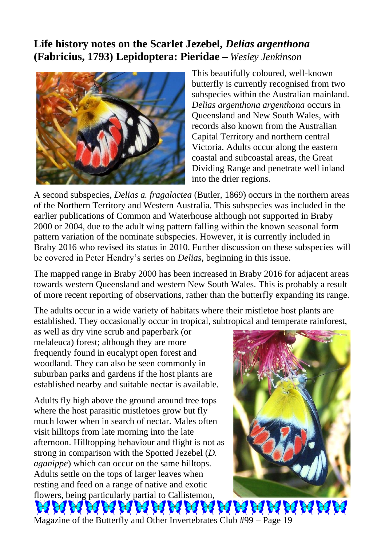## **Life history notes on the Scarlet Jezebel,** *Delias argenthona*  **(Fabricius, 1793) Lepidoptera: Pieridae –** *Wesley Jenkinson*



This beautifully coloured, well-known butterfly is currently recognised from two subspecies within the Australian mainland. *Delias argenthona argenthona* occurs in Queensland and New South Wales, with records also known from the Australian Capital Territory and northern central Victoria. Adults occur along the eastern coastal and subcoastal areas, the Great Dividing Range and penetrate well inland into the drier regions.

A second subspecies, *Delias a. fragalactea* (Butler, 1869) occurs in the northern areas of the Northern Territory and Western Australia. This subspecies was included in the earlier publications of Common and Waterhouse although not supported in Braby 2000 or 2004, due to the adult wing pattern falling within the known seasonal form pattern variation of the nominate subspecies. However, it is currently included in Braby 2016 who revised its status in 2010. Further discussion on these subspecies will be covered in Peter Hendry's series on *Delias*, beginning in this issue.

The mapped range in Braby 2000 has been increased in Braby 2016 for adjacent areas towards western Queensland and western New South Wales. This is probably a result of more recent reporting of observations, rather than the butterfly expanding its range.

The adults occur in a wide variety of habitats where their mistletoe host plants are established. They occasionally occur in tropical, subtropical and temperate rainforest,

as well as dry vine scrub and paperbark (or melaleuca) forest; although they are more frequently found in eucalypt open forest and woodland. They can also be seen commonly in suburban parks and gardens if the host plants are established nearby and suitable nectar is available.

Adults fly high above the ground around tree tops where the host parasitic mistletoes grow but fly much lower when in search of nectar. Males often visit hilltops from late morning into the late afternoon. Hilltopping behaviour and flight is not as strong in comparison with the Spotted Jezebel (*D. aganippe*) which can occur on the same hilltops. Adults settle on the tops of larger leaves when resting and feed on a range of native and exotic flowers, being particularly partial to Callistemon,



**A A A A A** Magazine of the Butterfly and Other Invertebrates Club #99 – Page 19

**AS**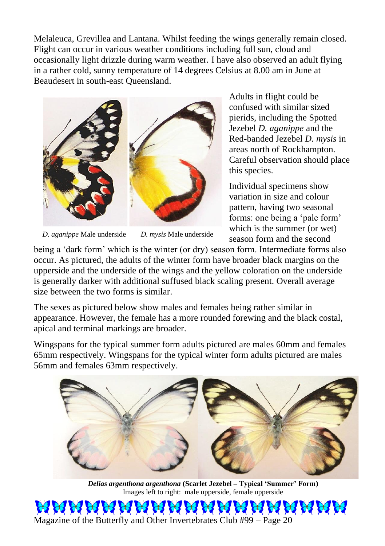Melaleuca, Grevillea and Lantana. Whilst feeding the wings generally remain closed. Flight can occur in various weather conditions including full sun, cloud and occasionally light drizzle during warm weather. I have also observed an adult flying in a rather cold, sunny temperature of 14 degrees Celsius at 8.00 am in June at Beaudesert in south-east Queensland.



*D. aganippe* Male underside *D. mysis* Male underside

Adults in flight could be confused with similar sized pierids, including the Spotted Jezebel *D. aganippe* and the Red-banded Jezebel *D. mysis* in areas north of Rockhampton. Careful observation should place this species.

Individual specimens show variation in size and colour pattern, having two seasonal forms: one being a 'pale form' which is the summer (or wet) season form and the second

being a 'dark form' which is the winter (or dry) season form. Intermediate forms also occur. As pictured, the adults of the winter form have broader black margins on the upperside and the underside of the wings and the yellow coloration on the underside is generally darker with additional suffused black scaling present. Overall average size between the two forms is similar.

The sexes as pictured below show males and females being rather similar in appearance. However, the female has a more rounded forewing and the black costal, apical and terminal markings are broader.

Wingspans for the typical summer form adults pictured are males 60mm and females 65mm respectively. Wingspans for the typical winter form adults pictured are males 56mm and females 63mm respectively.



*Delias argenthona argenthona* **(Scarlet Jezebel – Typical 'Summer' Form)** Images left to right: male upperside, female upperside

36 36 36 36 Magazine of the Butterfly and Other Invertebrates Club #99 – Page 20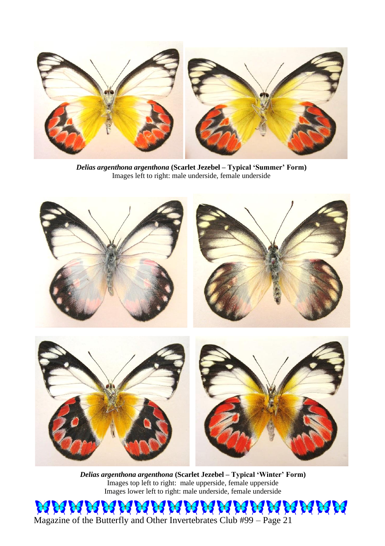

*Delias argenthona argenthona* **(Scarlet Jezebel – Typical 'Summer' Form)** Images left to right: male underside, female underside



*Delias argenthona argenthona* **(Scarlet Jezebel – Typical 'Winter' Form)** Images top left to right: male upperside, female upperside Images lower left to right: male underside, female underside

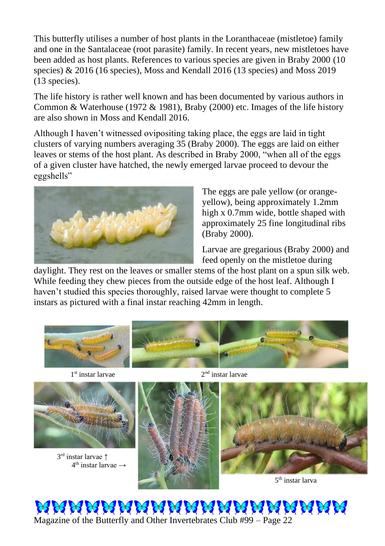This butterfly utilises a number of host plants in the Loranthaceae (mistletoe) family and one in the Santalaceae (root parasite) family. In recent years, new mistletoes have been added as host plants. References to various species are given in Braby 2000 (10 species) & 2016 (16 species), Moss and Kendall 2016 (13 species) and Moss 2019 (13 species).

The life history is rather well known and has been documented by various authors in Common & Waterhouse (1972 & 1981), Braby (2000) etc. Images of the life history are also shown in Moss and Kendall 2016.

Although I haven't witnessed ovipositing taking place, the eggs are laid in tight clusters of varying numbers averaging 35 (Braby 2000). The eggs are laid on either leaves or stems of the host plant. As described in Braby 2000, "when all of the eggs of a given cluster have hatched, the newly emerged larvae proceed to devour the eggshells"



The eggs are pale yellow (or orangeyellow), being approximately 1.2mm high x 0.7mm wide, bottle shaped with approximately 25 fine longitudinal ribs (Braby 2000)*.*

Larvae are gregarious (Braby 2000) and feed openly on the mistletoe during

daylight. They rest on the leaves or smaller stems of the host plant on a spun silk web. While feeding they chew pieces from the outside edge of the host leaf. Although I haven't studied this species thoroughly, raised larvae were thought to complete 5 instars as pictured with a final instar reaching 42mm in length.



1<sup>st</sup> instar larvae



 3 rd instar larvae ↑ 4  $4<sup>th</sup>$  instar larvae  $\rightarrow$ 



 $2<sup>nd</sup>$  instar larvae



5<sup>th</sup> instar larva

RRAMAMARANANANANAN Magazine of the Butterfly and Other Invertebrates Club #99 – Page 22